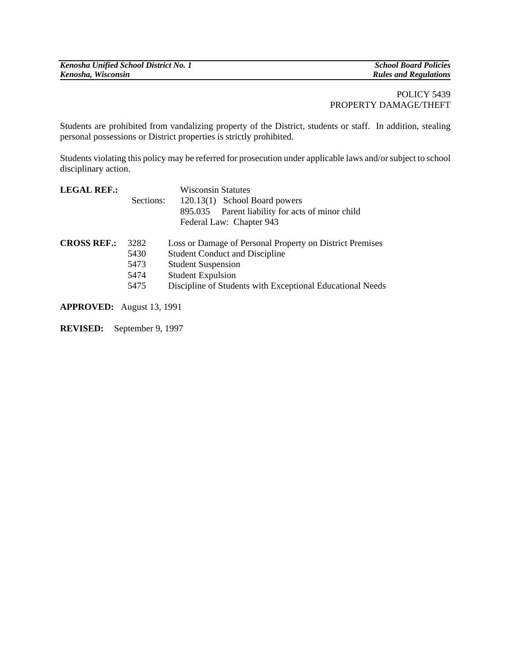| Kenosha Unified School District No. 1 | <b>School Board Policies</b> |
|---------------------------------------|------------------------------|
|                                       |                              |
| Kenosha, Wisconsin                    | <b>Rules and Regulations</b> |
|                                       |                              |

## POLICY 5439 PROPERTY DAMAGE/THEFT

Students are prohibited from vandalizing property of the District, students or staff. In addition, stealing personal possessions or District properties is strictly prohibited.

Students violating this policy may be referred for prosecution under applicable laws and/or subject to school disciplinary action.

| <b>LEGAL REF.:</b>        |           | <b>Wisconsin Statutes</b>                                 |
|---------------------------|-----------|-----------------------------------------------------------|
|                           | Sections: | 120.13(1) School Board powers                             |
|                           |           | 895.035 Parent liability for acts of minor child          |
|                           |           | Federal Law: Chapter 943                                  |
| <b>CROSS REF.:</b>        | 3282      | Loss or Damage of Personal Property on District Premises  |
|                           | 5430      | <b>Student Conduct and Discipline</b>                     |
|                           | 5473      | <b>Student Suspension</b>                                 |
|                           | 5474      | <b>Student Expulsion</b>                                  |
|                           | 5475      | Discipline of Students with Exceptional Educational Needs |
| ADDDOVED. Angust 12, 1001 |           |                                                           |

**APPROVED:** August 13, 1991

**REVISED:** September 9, 1997